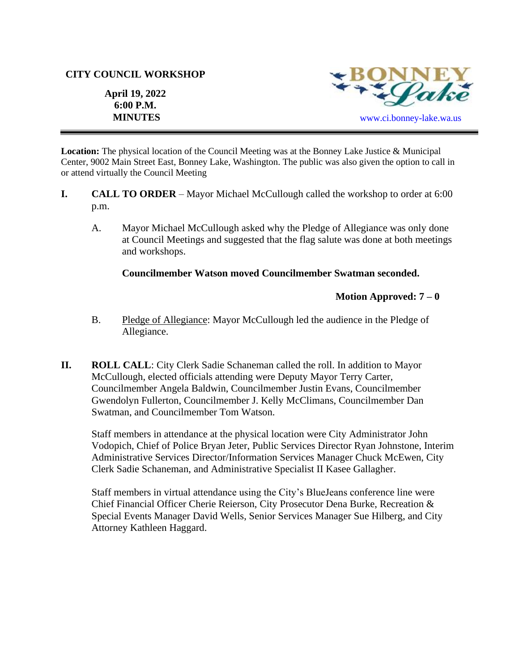### **CITY COUNCIL WORKSHOP**

**MINUTES** [www.ci.bonney-lake.wa.us](http://www.ci.bonney-lake.wa.us/)

**April 19, 2022 6:00 P.M.** 

**Location:** The physical location of the Council Meeting was at the Bonney Lake Justice & Municipal Center, 9002 Main Street East, Bonney Lake, Washington. The public was also given the option to call in or attend virtually the Council Meeting

- **I. CALL TO ORDER**  Mayor Michael McCullough called the workshop to order at 6:00 p.m.
	- A. Mayor Michael McCullough asked why the Pledge of Allegiance was only done at Council Meetings and suggested that the flag salute was done at both meetings and workshops.

# **Councilmember Watson moved Councilmember Swatman seconded.**

# **Motion Approved: 7 – 0**

- B. Pledge of Allegiance: Mayor McCullough led the audience in the Pledge of Allegiance.
- **II. ROLL CALL**: City Clerk Sadie Schaneman called the roll. In addition to Mayor McCullough, elected officials attending were Deputy Mayor Terry Carter, Councilmember Angela Baldwin, Councilmember Justin Evans, Councilmember Gwendolyn Fullerton, Councilmember J. Kelly McClimans, Councilmember Dan Swatman, and Councilmember Tom Watson.

Staff members in attendance at the physical location were City Administrator John Vodopich, Chief of Police Bryan Jeter, Public Services Director Ryan Johnstone, Interim Administrative Services Director/Information Services Manager Chuck McEwen, City Clerk Sadie Schaneman, and Administrative Specialist II Kasee Gallagher.

Staff members in virtual attendance using the City's BlueJeans conference line were Chief Financial Officer Cherie Reierson, City Prosecutor Dena Burke, Recreation & Special Events Manager David Wells, Senior Services Manager Sue Hilberg, and City Attorney Kathleen Haggard.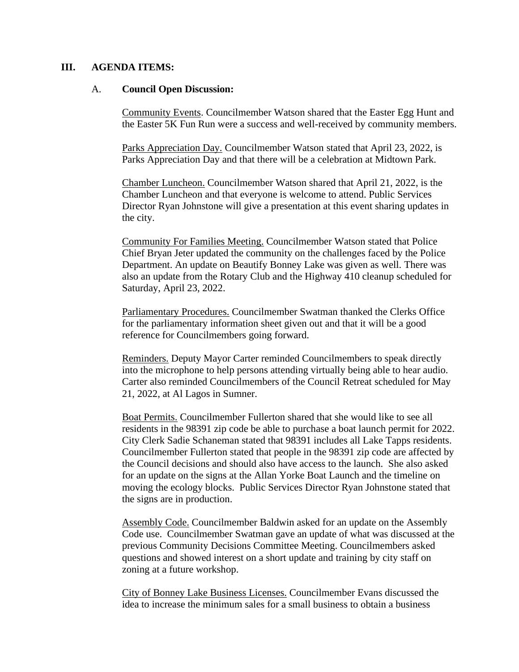#### **III. AGENDA ITEMS:**

#### A. **Council Open Discussion:**

Community Events. Councilmember Watson shared that the Easter Egg Hunt and the Easter 5K Fun Run were a success and well-received by community members.

Parks Appreciation Day. Councilmember Watson stated that April 23, 2022, is Parks Appreciation Day and that there will be a celebration at Midtown Park.

Chamber Luncheon. Councilmember Watson shared that April 21, 2022, is the Chamber Luncheon and that everyone is welcome to attend. Public Services Director Ryan Johnstone will give a presentation at this event sharing updates in the city.

Community For Families Meeting. Councilmember Watson stated that Police Chief Bryan Jeter updated the community on the challenges faced by the Police Department. An update on Beautify Bonney Lake was given as well. There was also an update from the Rotary Club and the Highway 410 cleanup scheduled for Saturday, April 23, 2022.

Parliamentary Procedures. Councilmember Swatman thanked the Clerks Office for the parliamentary information sheet given out and that it will be a good reference for Councilmembers going forward.

Reminders. Deputy Mayor Carter reminded Councilmembers to speak directly into the microphone to help persons attending virtually being able to hear audio. Carter also reminded Councilmembers of the Council Retreat scheduled for May 21, 2022, at Al Lagos in Sumner.

Boat Permits. Councilmember Fullerton shared that she would like to see all residents in the 98391 zip code be able to purchase a boat launch permit for 2022. City Clerk Sadie Schaneman stated that 98391 includes all Lake Tapps residents. Councilmember Fullerton stated that people in the 98391 zip code are affected by the Council decisions and should also have access to the launch. She also asked for an update on the signs at the Allan Yorke Boat Launch and the timeline on moving the ecology blocks. Public Services Director Ryan Johnstone stated that the signs are in production.

Assembly Code. Councilmember Baldwin asked for an update on the Assembly Code use. Councilmember Swatman gave an update of what was discussed at the previous Community Decisions Committee Meeting. Councilmembers asked questions and showed interest on a short update and training by city staff on zoning at a future workshop.

City of Bonney Lake Business Licenses. Councilmember Evans discussed the idea to increase the minimum sales for a small business to obtain a business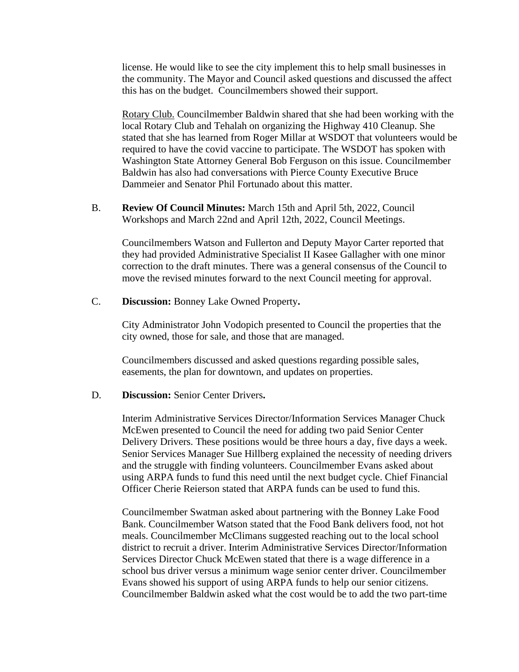license. He would like to see the city implement this to help small businesses in the community. The Mayor and Council asked questions and discussed the affect this has on the budget. Councilmembers showed their support.

Rotary Club. Councilmember Baldwin shared that she had been working with the local Rotary Club and Tehalah on organizing the Highway 410 Cleanup. She stated that she has learned from Roger Millar at WSDOT that volunteers would be required to have the covid vaccine to participate. The WSDOT has spoken with Washington State Attorney General Bob Ferguson on this issue. Councilmember Baldwin has also had conversations with Pierce County Executive Bruce Dammeier and Senator Phil Fortunado about this matter.

B. **Review Of Council Minutes:** March 15th and April 5th, 2022, Council Workshops and March 22nd and April 12th, 2022, Council Meetings.

Councilmembers Watson and Fullerton and Deputy Mayor Carter reported that they had provided Administrative Specialist II Kasee Gallagher with one minor correction to the draft minutes. There was a general consensus of the Council to move the revised minutes forward to the next Council meeting for approval.

C. **Discussion:** Bonney Lake Owned Property**.**

City Administrator John Vodopich presented to Council the properties that the city owned, those for sale, and those that are managed.

Councilmembers discussed and asked questions regarding possible sales, easements, the plan for downtown, and updates on properties.

#### D. **Discussion:** Senior Center Drivers**.**

Interim Administrative Services Director/Information Services Manager Chuck McEwen presented to Council the need for adding two paid Senior Center Delivery Drivers. These positions would be three hours a day, five days a week. Senior Services Manager Sue Hillberg explained the necessity of needing drivers and the struggle with finding volunteers. Councilmember Evans asked about using ARPA funds to fund this need until the next budget cycle. Chief Financial Officer Cherie Reierson stated that ARPA funds can be used to fund this.

Councilmember Swatman asked about partnering with the Bonney Lake Food Bank. Councilmember Watson stated that the Food Bank delivers food, not hot meals. Councilmember McClimans suggested reaching out to the local school district to recruit a driver. Interim Administrative Services Director/Information Services Director Chuck McEwen stated that there is a wage difference in a school bus driver versus a minimum wage senior center driver. Councilmember Evans showed his support of using ARPA funds to help our senior citizens. Councilmember Baldwin asked what the cost would be to add the two part-time